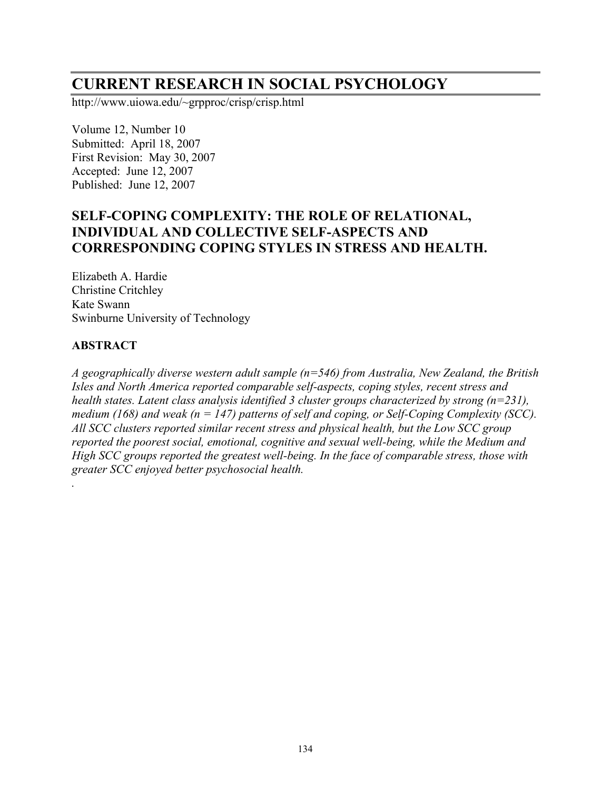# **CURRENT RESEARCH IN SOCIAL PSYCHOLOGY**

http://www.uiowa.edu/~grpproc/crisp/crisp.html

Volume 12, Number 10 Submitted: April 18, 2007 First Revision: May 30, 2007 Accepted: June 12, 2007 Published: June 12, 2007

## **SELF-COPING COMPLEXITY: THE ROLE OF RELATIONAL, INDIVIDUAL AND COLLECTIVE SELF-ASPECTS AND CORRESPONDING COPING STYLES IN STRESS AND HEALTH.**

Elizabeth A. Hardie Christine Critchley Kate Swann Swinburne University of Technology

#### **ABSTRACT**

*.*

*A geographically diverse western adult sample (n=546) from Australia, New Zealand, the British Isles and North America reported comparable self-aspects, coping styles, recent stress and health states. Latent class analysis identified 3 cluster groups characterized by strong (n=231), medium (168) and weak (n = 147) patterns of self and coping, or Self-Coping Complexity (SCC). All SCC clusters reported similar recent stress and physical health, but the Low SCC group reported the poorest social, emotional, cognitive and sexual well-being, while the Medium and High SCC groups reported the greatest well-being. In the face of comparable stress, those with greater SCC enjoyed better psychosocial health.*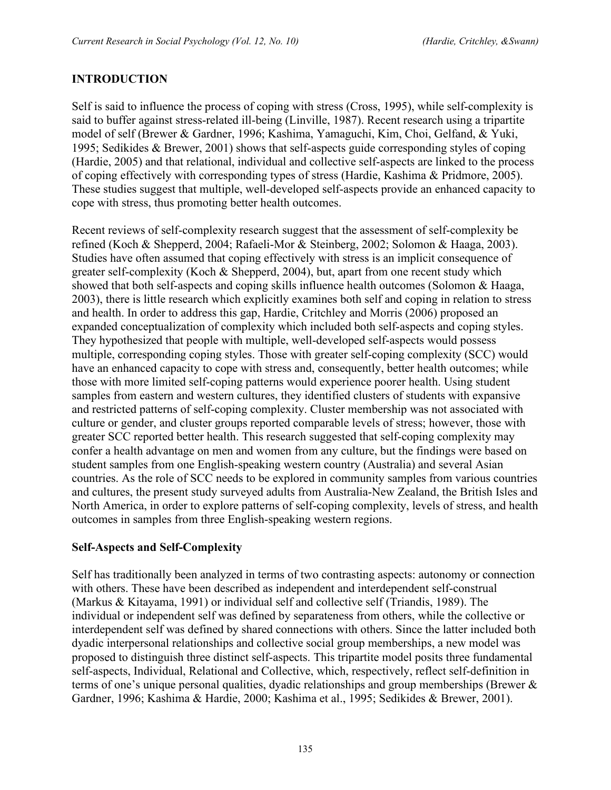## **INTRODUCTION**

Self is said to influence the process of coping with stress (Cross, 1995), while self-complexity is said to buffer against stress-related ill-being (Linville, 1987). Recent research using a tripartite model of self (Brewer & Gardner, 1996; Kashima, Yamaguchi, Kim, Choi, Gelfand, & Yuki, 1995; Sedikides & Brewer, 2001) shows that self-aspects guide corresponding styles of coping (Hardie, 2005) and that relational, individual and collective self-aspects are linked to the process of coping effectively with corresponding types of stress (Hardie, Kashima & Pridmore, 2005). These studies suggest that multiple, well-developed self-aspects provide an enhanced capacity to cope with stress, thus promoting better health outcomes.

Recent reviews of self-complexity research suggest that the assessment of self-complexity be refined (Koch & Shepperd, 2004; Rafaeli-Mor & Steinberg, 2002; Solomon & Haaga, 2003). Studies have often assumed that coping effectively with stress is an implicit consequence of greater self-complexity (Koch & Shepperd, 2004), but, apart from one recent study which showed that both self-aspects and coping skills influence health outcomes (Solomon & Haaga, 2003), there is little research which explicitly examines both self and coping in relation to stress and health. In order to address this gap, Hardie, Critchley and Morris (2006) proposed an expanded conceptualization of complexity which included both self-aspects and coping styles. They hypothesized that people with multiple, well-developed self-aspects would possess multiple, corresponding coping styles. Those with greater self-coping complexity (SCC) would have an enhanced capacity to cope with stress and, consequently, better health outcomes; while those with more limited self-coping patterns would experience poorer health. Using student samples from eastern and western cultures, they identified clusters of students with expansive and restricted patterns of self-coping complexity. Cluster membership was not associated with culture or gender, and cluster groups reported comparable levels of stress; however, those with greater SCC reported better health. This research suggested that self-coping complexity may confer a health advantage on men and women from any culture, but the findings were based on student samples from one English-speaking western country (Australia) and several Asian countries. As the role of SCC needs to be explored in community samples from various countries and cultures, the present study surveyed adults from Australia-New Zealand, the British Isles and North America, in order to explore patterns of self-coping complexity, levels of stress, and health outcomes in samples from three English-speaking western regions.

#### **Self-Aspects and Self-Complexity**

Self has traditionally been analyzed in terms of two contrasting aspects: autonomy or connection with others. These have been described as independent and interdependent self-construal (Markus & Kitayama, 1991) or individual self and collective self (Triandis, 1989). The individual or independent self was defined by separateness from others, while the collective or interdependent self was defined by shared connections with others. Since the latter included both dyadic interpersonal relationships and collective social group memberships, a new model was proposed to distinguish three distinct self-aspects. This tripartite model posits three fundamental self-aspects, Individual, Relational and Collective, which, respectively, reflect self-definition in terms of one's unique personal qualities, dyadic relationships and group memberships (Brewer & Gardner, 1996; Kashima & Hardie, 2000; Kashima et al., 1995; Sedikides & Brewer, 2001).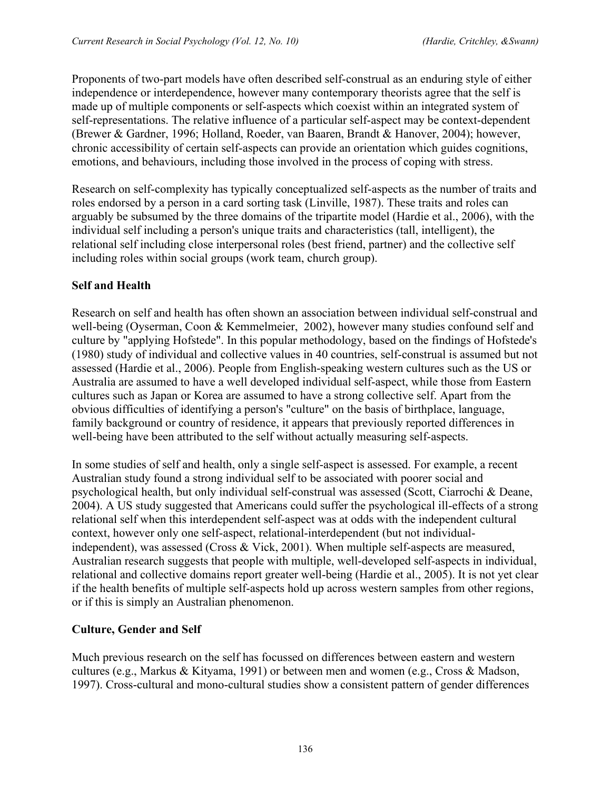Proponents of two-part models have often described self-construal as an enduring style of either independence or interdependence, however many contemporary theorists agree that the self is made up of multiple components or self-aspects which coexist within an integrated system of self-representations. The relative influence of a particular self-aspect may be context-dependent (Brewer & Gardner, 1996; Holland, Roeder, van Baaren, Brandt & Hanover, 2004); however, chronic accessibility of certain self-aspects can provide an orientation which guides cognitions, emotions, and behaviours, including those involved in the process of coping with stress.

Research on self-complexity has typically conceptualized self-aspects as the number of traits and roles endorsed by a person in a card sorting task (Linville, 1987). These traits and roles can arguably be subsumed by the three domains of the tripartite model (Hardie et al., 2006), with the individual self including a person's unique traits and characteristics (tall, intelligent), the relational self including close interpersonal roles (best friend, partner) and the collective self including roles within social groups (work team, church group).

### **Self and Health**

Research on self and health has often shown an association between individual self-construal and well-being (Oyserman, Coon & Kemmelmeier, 2002), however many studies confound self and culture by "applying Hofstede". In this popular methodology, based on the findings of Hofstede's (1980) study of individual and collective values in 40 countries, self-construal is assumed but not assessed (Hardie et al., 2006). People from English-speaking western cultures such as the US or Australia are assumed to have a well developed individual self-aspect, while those from Eastern cultures such as Japan or Korea are assumed to have a strong collective self. Apart from the obvious difficulties of identifying a person's "culture" on the basis of birthplace, language, family background or country of residence, it appears that previously reported differences in well-being have been attributed to the self without actually measuring self-aspects.

In some studies of self and health, only a single self-aspect is assessed. For example, a recent Australian study found a strong individual self to be associated with poorer social and psychological health, but only individual self-construal was assessed (Scott, Ciarrochi & Deane, 2004). A US study suggested that Americans could suffer the psychological ill-effects of a strong relational self when this interdependent self-aspect was at odds with the independent cultural context, however only one self-aspect, relational-interdependent (but not individualindependent), was assessed (Cross & Vick, 2001). When multiple self-aspects are measured, Australian research suggests that people with multiple, well-developed self-aspects in individual, relational and collective domains report greater well-being (Hardie et al., 2005). It is not yet clear if the health benefits of multiple self-aspects hold up across western samples from other regions, or if this is simply an Australian phenomenon.

#### **Culture, Gender and Self**

Much previous research on the self has focussed on differences between eastern and western cultures (e.g., Markus & Kityama, 1991) or between men and women (e.g., Cross & Madson, 1997). Cross-cultural and mono-cultural studies show a consistent pattern of gender differences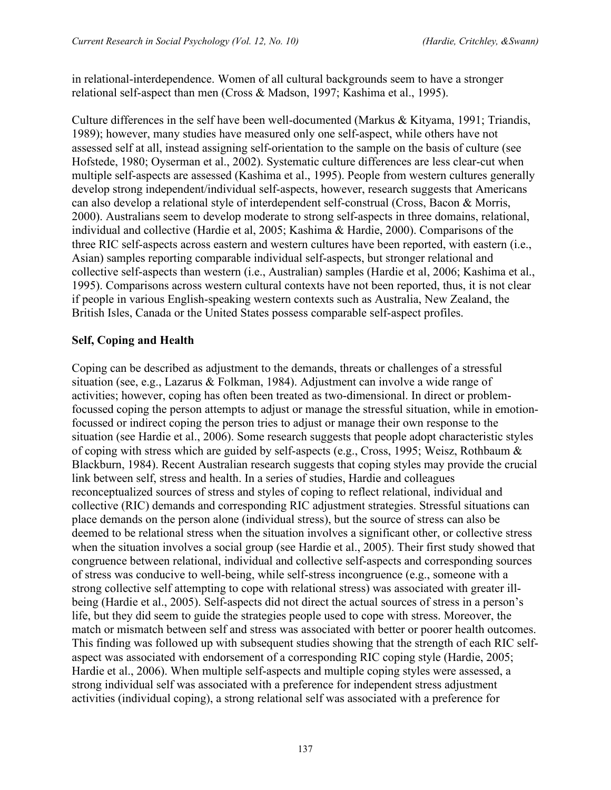in relational-interdependence. Women of all cultural backgrounds seem to have a stronger relational self-aspect than men (Cross & Madson, 1997; Kashima et al., 1995).

Culture differences in the self have been well-documented (Markus  $\&$  Kityama, 1991; Triandis, 1989); however, many studies have measured only one self-aspect, while others have not assessed self at all, instead assigning self-orientation to the sample on the basis of culture (see Hofstede, 1980; Oyserman et al., 2002). Systematic culture differences are less clear-cut when multiple self-aspects are assessed (Kashima et al., 1995). People from western cultures generally develop strong independent/individual self-aspects, however, research suggests that Americans can also develop a relational style of interdependent self-construal (Cross, Bacon & Morris, 2000). Australians seem to develop moderate to strong self-aspects in three domains, relational, individual and collective (Hardie et al, 2005; Kashima & Hardie, 2000). Comparisons of the three RIC self-aspects across eastern and western cultures have been reported, with eastern (i.e., Asian) samples reporting comparable individual self-aspects, but stronger relational and collective self-aspects than western (i.e., Australian) samples (Hardie et al, 2006; Kashima et al., 1995). Comparisons across western cultural contexts have not been reported, thus, it is not clear if people in various English-speaking western contexts such as Australia, New Zealand, the British Isles, Canada or the United States possess comparable self-aspect profiles.

### **Self, Coping and Health**

Coping can be described as adjustment to the demands, threats or challenges of a stressful situation (see, e.g., Lazarus & Folkman, 1984). Adjustment can involve a wide range of activities; however, coping has often been treated as two-dimensional. In direct or problemfocussed coping the person attempts to adjust or manage the stressful situation, while in emotionfocussed or indirect coping the person tries to adjust or manage their own response to the situation (see Hardie et al., 2006). Some research suggests that people adopt characteristic styles of coping with stress which are guided by self-aspects (e.g., Cross, 1995; Weisz, Rothbaum & Blackburn, 1984). Recent Australian research suggests that coping styles may provide the crucial link between self, stress and health. In a series of studies, Hardie and colleagues reconceptualized sources of stress and styles of coping to reflect relational, individual and collective (RIC) demands and corresponding RIC adjustment strategies. Stressful situations can place demands on the person alone (individual stress), but the source of stress can also be deemed to be relational stress when the situation involves a significant other, or collective stress when the situation involves a social group (see Hardie et al., 2005). Their first study showed that congruence between relational, individual and collective self-aspects and corresponding sources of stress was conducive to well-being, while self-stress incongruence (e.g., someone with a strong collective self attempting to cope with relational stress) was associated with greater illbeing (Hardie et al., 2005). Self-aspects did not direct the actual sources of stress in a person's life, but they did seem to guide the strategies people used to cope with stress. Moreover, the match or mismatch between self and stress was associated with better or poorer health outcomes. This finding was followed up with subsequent studies showing that the strength of each RIC selfaspect was associated with endorsement of a corresponding RIC coping style (Hardie, 2005; Hardie et al., 2006). When multiple self-aspects and multiple coping styles were assessed, a strong individual self was associated with a preference for independent stress adjustment activities (individual coping), a strong relational self was associated with a preference for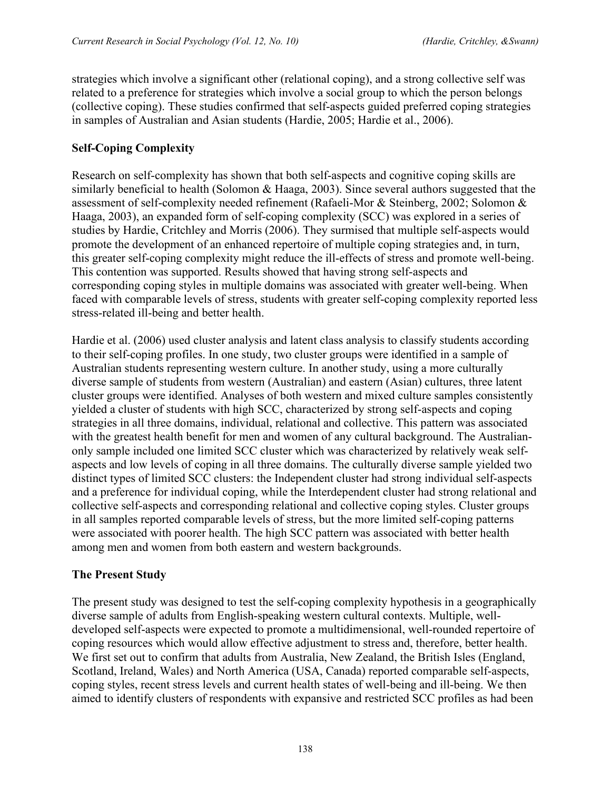strategies which involve a significant other (relational coping), and a strong collective self was related to a preference for strategies which involve a social group to which the person belongs (collective coping). These studies confirmed that self-aspects guided preferred coping strategies in samples of Australian and Asian students (Hardie, 2005; Hardie et al., 2006).

## **Self-Coping Complexity**

Research on self-complexity has shown that both self-aspects and cognitive coping skills are similarly beneficial to health (Solomon & Haaga, 2003). Since several authors suggested that the assessment of self-complexity needed refinement (Rafaeli-Mor & Steinberg, 2002; Solomon & Haaga, 2003), an expanded form of self-coping complexity (SCC) was explored in a series of studies by Hardie, Critchley and Morris (2006). They surmised that multiple self-aspects would promote the development of an enhanced repertoire of multiple coping strategies and, in turn, this greater self-coping complexity might reduce the ill-effects of stress and promote well-being. This contention was supported. Results showed that having strong self-aspects and corresponding coping styles in multiple domains was associated with greater well-being. When faced with comparable levels of stress, students with greater self-coping complexity reported less stress-related ill-being and better health.

Hardie et al. (2006) used cluster analysis and latent class analysis to classify students according to their self-coping profiles. In one study, two cluster groups were identified in a sample of Australian students representing western culture. In another study, using a more culturally diverse sample of students from western (Australian) and eastern (Asian) cultures, three latent cluster groups were identified. Analyses of both western and mixed culture samples consistently yielded a cluster of students with high SCC, characterized by strong self-aspects and coping strategies in all three domains, individual, relational and collective. This pattern was associated with the greatest health benefit for men and women of any cultural background. The Australianonly sample included one limited SCC cluster which was characterized by relatively weak selfaspects and low levels of coping in all three domains. The culturally diverse sample yielded two distinct types of limited SCC clusters: the Independent cluster had strong individual self-aspects and a preference for individual coping, while the Interdependent cluster had strong relational and collective self-aspects and corresponding relational and collective coping styles. Cluster groups in all samples reported comparable levels of stress, but the more limited self-coping patterns were associated with poorer health. The high SCC pattern was associated with better health among men and women from both eastern and western backgrounds.

#### **The Present Study**

The present study was designed to test the self-coping complexity hypothesis in a geographically diverse sample of adults from English-speaking western cultural contexts. Multiple, welldeveloped self-aspects were expected to promote a multidimensional, well-rounded repertoire of coping resources which would allow effective adjustment to stress and, therefore, better health. We first set out to confirm that adults from Australia, New Zealand, the British Isles (England, Scotland, Ireland, Wales) and North America (USA, Canada) reported comparable self-aspects, coping styles, recent stress levels and current health states of well-being and ill-being. We then aimed to identify clusters of respondents with expansive and restricted SCC profiles as had been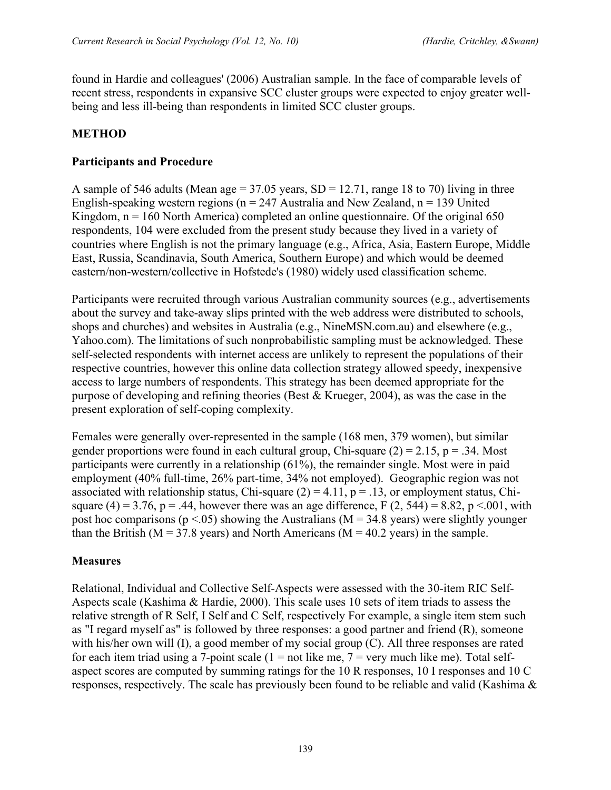found in Hardie and colleagues' (2006) Australian sample. In the face of comparable levels of recent stress, respondents in expansive SCC cluster groups were expected to enjoy greater wellbeing and less ill-being than respondents in limited SCC cluster groups.

### **METHOD**

#### **Participants and Procedure**

A sample of 546 adults (Mean age =  $37.05$  years, SD = 12.71, range 18 to 70) living in three English-speaking western regions ( $n = 247$  Australia and New Zealand,  $n = 139$  United Kingdom,  $n = 160$  North America) completed an online questionnaire. Of the original 650 respondents, 104 were excluded from the present study because they lived in a variety of countries where English is not the primary language (e.g., Africa, Asia, Eastern Europe, Middle East, Russia, Scandinavia, South America, Southern Europe) and which would be deemed eastern/non-western/collective in Hofstede's (1980) widely used classification scheme.

Participants were recruited through various Australian community sources (e.g., advertisements about the survey and take-away slips printed with the web address were distributed to schools, shops and churches) and websites in Australia (e.g., NineMSN.com.au) and elsewhere (e.g., Yahoo.com). The limitations of such nonprobabilistic sampling must be acknowledged. These self-selected respondents with internet access are unlikely to represent the populations of their respective countries, however this online data collection strategy allowed speedy, inexpensive access to large numbers of respondents. This strategy has been deemed appropriate for the purpose of developing and refining theories (Best & Krueger, 2004), as was the case in the present exploration of self-coping complexity.

Females were generally over-represented in the sample (168 men, 379 women), but similar gender proportions were found in each cultural group, Chi-square  $(2) = 2.15$ , p = .34. Most participants were currently in a relationship (61%), the remainder single. Most were in paid employment (40% full-time, 26% part-time, 34% not employed). Geographic region was not associated with relationship status, Chi-square  $(2) = 4.11$ ,  $p = .13$ , or employment status, Chisquare (4) = 3.76, p = .44, however there was an age difference, F (2, 544) = 8.82, p < 001, with post hoc comparisons ( $p < .05$ ) showing the Australians (M = 34.8 years) were slightly younger than the British ( $M = 37.8$  years) and North Americans ( $M = 40.2$  years) in the sample.

#### **Measures**

Relational, Individual and Collective Self-Aspects were assessed with the 30-item RIC Self-Aspects scale (Kashima & Hardie, 2000). This scale uses 10 sets of item triads to assess the relative strength of R Self, I Self and C Self, respectively For example, a single item stem such as "I regard myself as" is followed by three responses: a good partner and friend (R), someone with his/her own will (I), a good member of my social group (C). All three responses are rated for each item triad using a 7-point scale  $(1 = not$  like me,  $7 =$  very much like me). Total selfaspect scores are computed by summing ratings for the 10 R responses, 10 I responses and 10 C responses, respectively. The scale has previously been found to be reliable and valid (Kashima &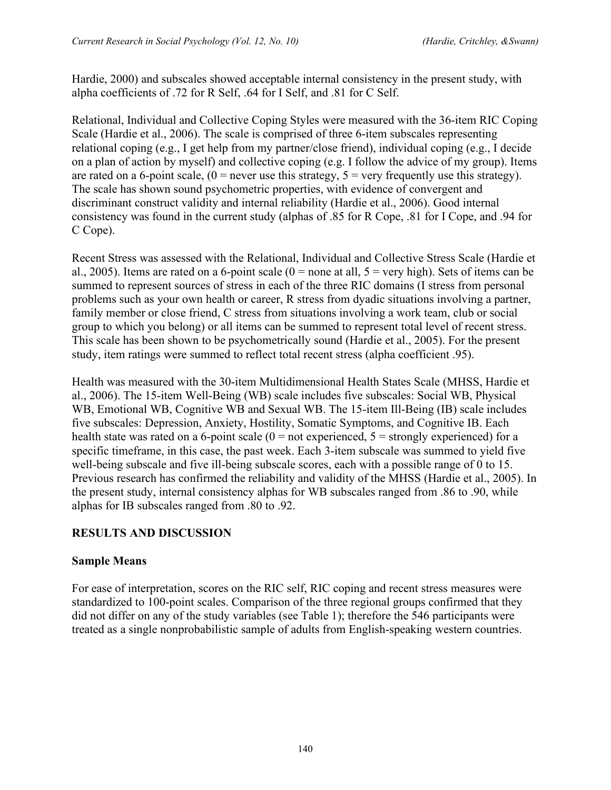Hardie, 2000) and subscales showed acceptable internal consistency in the present study, with alpha coefficients of .72 for R Self, .64 for I Self, and .81 for C Self.

Relational, Individual and Collective Coping Styles were measured with the 36-item RIC Coping Scale (Hardie et al., 2006). The scale is comprised of three 6-item subscales representing relational coping (e.g., I get help from my partner/close friend), individual coping (e.g., I decide on a plan of action by myself) and collective coping (e.g. I follow the advice of my group). Items are rated on a 6-point scale,  $(0 =$  never use this strategy,  $5 =$  very frequently use this strategy). The scale has shown sound psychometric properties, with evidence of convergent and discriminant construct validity and internal reliability (Hardie et al., 2006). Good internal consistency was found in the current study (alphas of .85 for R Cope, .81 for I Cope, and .94 for C Cope).

Recent Stress was assessed with the Relational, Individual and Collective Stress Scale (Hardie et al., 2005). Items are rated on a 6-point scale ( $0 =$  none at all,  $5 =$  very high). Sets of items can be summed to represent sources of stress in each of the three RIC domains (I stress from personal problems such as your own health or career, R stress from dyadic situations involving a partner, family member or close friend, C stress from situations involving a work team, club or social group to which you belong) or all items can be summed to represent total level of recent stress. This scale has been shown to be psychometrically sound (Hardie et al., 2005). For the present study, item ratings were summed to reflect total recent stress (alpha coefficient .95).

Health was measured with the 30-item Multidimensional Health States Scale (MHSS, Hardie et al., 2006). The 15-item Well-Being (WB) scale includes five subscales: Social WB, Physical WB, Emotional WB, Cognitive WB and Sexual WB. The 15-item Ill-Being (IB) scale includes five subscales: Depression, Anxiety, Hostility, Somatic Symptoms, and Cognitive IB. Each health state was rated on a 6-point scale  $(0 = not$  experienced,  $5 =$  strongly experienced) for a specific timeframe, in this case, the past week. Each 3-item subscale was summed to yield five well-being subscale and five ill-being subscale scores, each with a possible range of 0 to 15. Previous research has confirmed the reliability and validity of the MHSS (Hardie et al., 2005). In the present study, internal consistency alphas for WB subscales ranged from .86 to .90, while alphas for IB subscales ranged from .80 to .92.

## **RESULTS AND DISCUSSION**

#### **Sample Means**

For ease of interpretation, scores on the RIC self, RIC coping and recent stress measures were standardized to 100-point scales. Comparison of the three regional groups confirmed that they did not differ on any of the study variables (see Table 1); therefore the 546 participants were treated as a single nonprobabilistic sample of adults from English-speaking western countries.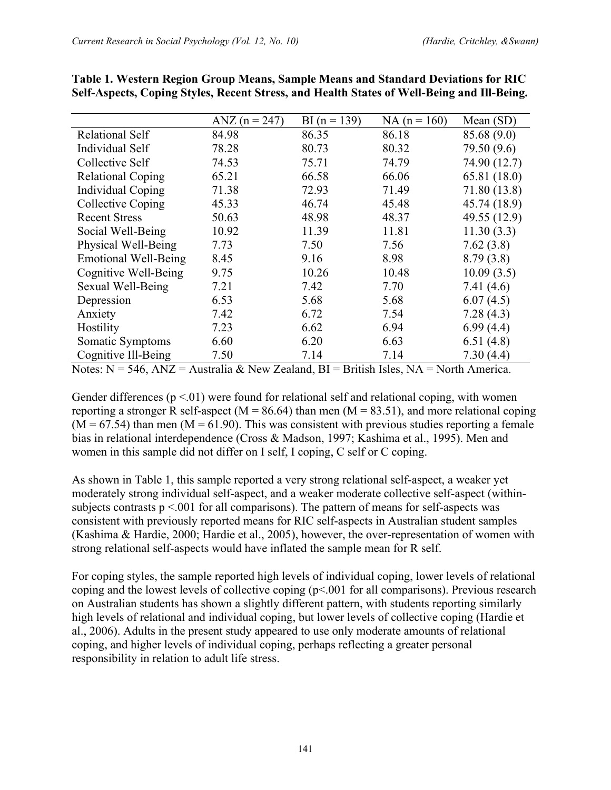|                             | ANZ $(n = 247)$ | BI $(n = 139)$ | $NA (n = 160)$ | Mean $(SD)$  |
|-----------------------------|-----------------|----------------|----------------|--------------|
| <b>Relational Self</b>      | 84.98           | 86.35          | 86.18          | 85.68 (9.0)  |
| Individual Self             | 78.28           | 80.73          | 80.32          | 79.50 (9.6)  |
| Collective Self             | 74.53           | 75.71          | 74.79          | 74.90 (12.7) |
| <b>Relational Coping</b>    | 65.21           | 66.58          | 66.06          | 65.81 (18.0) |
| <b>Individual Coping</b>    | 71.38           | 72.93          | 71.49          | 71.80 (13.8) |
| <b>Collective Coping</b>    | 45.33           | 46.74          | 45.48          | 45.74 (18.9) |
| <b>Recent Stress</b>        | 50.63           | 48.98          | 48.37          | 49.55 (12.9) |
| Social Well-Being           | 10.92           | 11.39          | 11.81          | 11.30(3.3)   |
| Physical Well-Being         | 7.73            | 7.50           | 7.56           | 7.62(3.8)    |
| <b>Emotional Well-Being</b> | 8.45            | 9.16           | 8.98           | 8.79(3.8)    |
| Cognitive Well-Being        | 9.75            | 10.26          | 10.48          | 10.09(3.5)   |
| Sexual Well-Being           | 7.21            | 7.42           | 7.70           | 7.41(4.6)    |
| Depression                  | 6.53            | 5.68           | 5.68           | 6.07(4.5)    |
| Anxiety                     | 7.42            | 6.72           | 7.54           | 7.28(4.3)    |
| Hostility                   | 7.23            | 6.62           | 6.94           | 6.99(4.4)    |
| Somatic Symptoms            | 6.60            | 6.20           | 6.63           | 6.51(4.8)    |
| Cognitive Ill-Being         | 7.50            | 7.14           | 7.14           | 7.30(4.4)    |

**Table 1. Western Region Group Means, Sample Means and Standard Deviations for RIC Self-Aspects, Coping Styles, Recent Stress, and Health States of Well-Being and Ill-Being.**

Notes:  $N = 546$ ,  $ANZ =$  Australia & New Zealand,  $BI =$  British Isles,  $NA =$  North America.

Gender differences ( $p \le 01$ ) were found for relational self and relational coping, with women reporting a stronger R self-aspect ( $M = 86.64$ ) than men ( $M = 83.51$ ), and more relational coping  $(M = 67.54)$  than men  $(M = 61.90)$ . This was consistent with previous studies reporting a female bias in relational interdependence (Cross & Madson, 1997; Kashima et al., 1995). Men and women in this sample did not differ on I self, I coping, C self or C coping.

As shown in Table 1, this sample reported a very strong relational self-aspect, a weaker yet moderately strong individual self-aspect, and a weaker moderate collective self-aspect (withinsubjects contrasts  $p \le 0.001$  for all comparisons). The pattern of means for self-aspects was consistent with previously reported means for RIC self-aspects in Australian student samples (Kashima & Hardie, 2000; Hardie et al., 2005), however, the over-representation of women with strong relational self-aspects would have inflated the sample mean for R self.

For coping styles, the sample reported high levels of individual coping, lower levels of relational coping and the lowest levels of collective coping (p<.001 for all comparisons). Previous research on Australian students has shown a slightly different pattern, with students reporting similarly high levels of relational and individual coping, but lower levels of collective coping (Hardie et al., 2006). Adults in the present study appeared to use only moderate amounts of relational coping, and higher levels of individual coping, perhaps reflecting a greater personal responsibility in relation to adult life stress.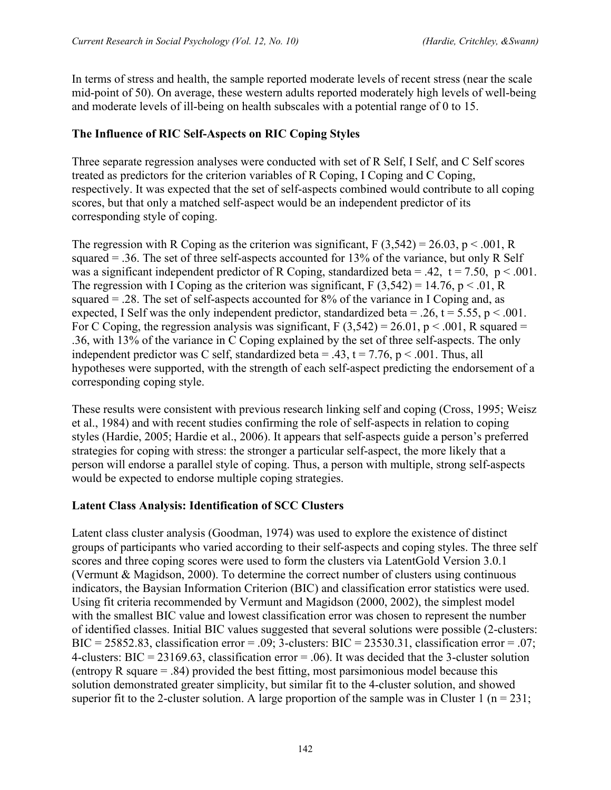In terms of stress and health, the sample reported moderate levels of recent stress (near the scale mid-point of 50). On average, these western adults reported moderately high levels of well-being and moderate levels of ill-being on health subscales with a potential range of 0 to 15.

### **The Influence of RIC Self-Aspects on RIC Coping Styles**

Three separate regression analyses were conducted with set of R Self, I Self, and C Self scores treated as predictors for the criterion variables of R Coping, I Coping and C Coping, respectively. It was expected that the set of self-aspects combined would contribute to all coping scores, but that only a matched self-aspect would be an independent predictor of its corresponding style of coping.

The regression with R Coping as the criterion was significant, F  $(3,542) = 26.03$ , p < .001, R squared = .36. The set of three self-aspects accounted for 13% of the variance, but only R Self was a significant independent predictor of R Coping, standardized beta = .42,  $t = 7.50$ ,  $p < .001$ . The regression with I Coping as the criterion was significant, F  $(3,542) = 14.76$ , p < .01, R squared = .28. The set of self-aspects accounted for 8% of the variance in I Coping and, as expected, I Self was the only independent predictor, standardized beta = .26,  $t = 5.55$ ,  $p < .001$ . For C Coping, the regression analysis was significant,  $F(3,542) = 26.01$ ,  $p < .001$ , R squared = .36, with 13% of the variance in C Coping explained by the set of three self-aspects. The only independent predictor was C self, standardized beta = .43,  $t = 7.76$ ,  $p < .001$ . Thus, all hypotheses were supported, with the strength of each self-aspect predicting the endorsement of a corresponding coping style.

These results were consistent with previous research linking self and coping (Cross, 1995; Weisz et al., 1984) and with recent studies confirming the role of self-aspects in relation to coping styles (Hardie, 2005; Hardie et al., 2006). It appears that self-aspects guide a person's preferred strategies for coping with stress: the stronger a particular self-aspect, the more likely that a person will endorse a parallel style of coping. Thus, a person with multiple, strong self-aspects would be expected to endorse multiple coping strategies.

#### **Latent Class Analysis: Identification of SCC Clusters**

Latent class cluster analysis (Goodman, 1974) was used to explore the existence of distinct groups of participants who varied according to their self-aspects and coping styles. The three self scores and three coping scores were used to form the clusters via LatentGold Version 3.0.1 (Vermunt & Magidson, 2000). To determine the correct number of clusters using continuous indicators, the Baysian Information Criterion (BIC) and classification error statistics were used. Using fit criteria recommended by Vermunt and Magidson (2000, 2002), the simplest model with the smallest BIC value and lowest classification error was chosen to represent the number of identified classes. Initial BIC values suggested that several solutions were possible (2-clusters: BIC = 25852.83, classification error = .09; 3-clusters: BIC = 23530.31, classification error = .07; 4-clusters: BIC = 23169.63, classification error = .06). It was decided that the 3-cluster solution (entropy R square = .84) provided the best fitting, most parsimonious model because this solution demonstrated greater simplicity, but similar fit to the 4-cluster solution, and showed superior fit to the 2-cluster solution. A large proportion of the sample was in Cluster 1 ( $n = 231$ ;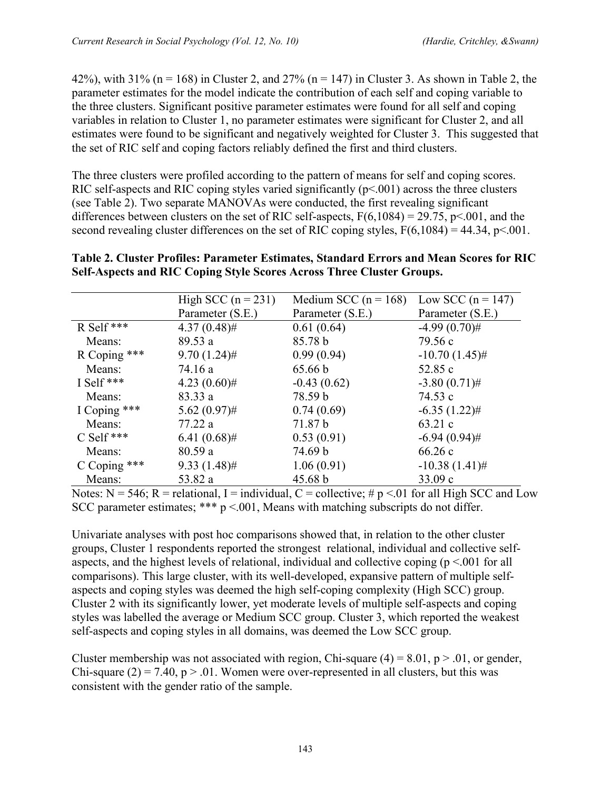42%), with 31% (n = 168) in Cluster 2, and 27% (n = 147) in Cluster 3. As shown in Table 2, the parameter estimates for the model indicate the contribution of each self and coping variable to the three clusters. Significant positive parameter estimates were found for all self and coping variables in relation to Cluster 1, no parameter estimates were significant for Cluster 2, and all estimates were found to be significant and negatively weighted for Cluster 3. This suggested that the set of RIC self and coping factors reliably defined the first and third clusters.

The three clusters were profiled according to the pattern of means for self and coping scores. RIC self-aspects and RIC coping styles varied significantly  $(p<.001)$  across the three clusters (see Table 2). Two separate MANOVAs were conducted, the first revealing significant differences between clusters on the set of RIC self-aspects,  $F(6,1084) = 29.75$ , p<.001, and the second revealing cluster differences on the set of RIC coping styles,  $F(6,1084) = 44.34$ ,  $p<.001$ .

#### **Table 2. Cluster Profiles: Parameter Estimates, Standard Errors and Mean Scores for RIC Self-Aspects and RIC Coping Style Scores Across Three Cluster Groups.**

|              | High SCC $(n = 231)$<br>Medium SCC ( $n = 168$ ) |                  | Low SCC $(n = 147)$ |  |
|--------------|--------------------------------------------------|------------------|---------------------|--|
|              | Parameter (S.E.)                                 | Parameter (S.E.) | Parameter (S.E.)    |  |
| R Self ***   | $4.37(0.48)$ #                                   | 0.61(0.64)       | $-4.99(0.70)$ #     |  |
| Means:       | 89.53a                                           | 85.78 b          | 79.56 c             |  |
| R Coping *** | $9.70(1.24)$ #                                   | 0.99(0.94)       | $-10.70(1.45)$ #    |  |
| Means:       | 74.16 a                                          | 65.66 b          | 52.85 c             |  |
| I Self ***   | $4.23(0.60)$ #                                   | $-0.43(0.62)$    | $-3.80(0.71)$ #     |  |
| Means:       | 83.33 a                                          | 78.59 b          | 74.53 c             |  |
| I Coping *** | $5.62(0.97)$ #                                   | 0.74(0.69)       | $-6.35(1.22)$ #     |  |
| Means:       | 77.22 a                                          | 71.87 b          | 63.21 c             |  |
| $C$ Self *** | $6.41(0.68)$ #                                   | 0.53(0.91)       | $-6.94(0.94)$ #     |  |
| Means:       | 80.59a                                           | 74.69 b          | 66.26c              |  |
| C Coping *** | $9.33(1.48)$ #                                   | 1.06(0.91)       | $-10.38(1.41)$ #    |  |
| Means:       | 53.82 a                                          | 45.68 b          | 33.09 c             |  |

Notes:  $N = 546$ ;  $R =$  relational, I = individual, C = collective; #  $p$  <.01 for all High SCC and Low SCC parameter estimates; \*\*\*  $p < 0.001$ , Means with matching subscripts do not differ.

Univariate analyses with post hoc comparisons showed that, in relation to the other cluster groups, Cluster 1 respondents reported the strongest relational, individual and collective selfaspects, and the highest levels of relational, individual and collective coping  $(p \le 0.001)$  for all comparisons). This large cluster, with its well-developed, expansive pattern of multiple selfaspects and coping styles was deemed the high self-coping complexity (High SCC) group. Cluster 2 with its significantly lower, yet moderate levels of multiple self-aspects and coping styles was labelled the average or Medium SCC group. Cluster 3, which reported the weakest self-aspects and coping styles in all domains, was deemed the Low SCC group.

Cluster membership was not associated with region, Chi-square  $(4) = 8.01$ ,  $p > .01$ , or gender, Chi-square (2) = 7.40,  $p > 0.01$ . Women were over-represented in all clusters, but this was consistent with the gender ratio of the sample.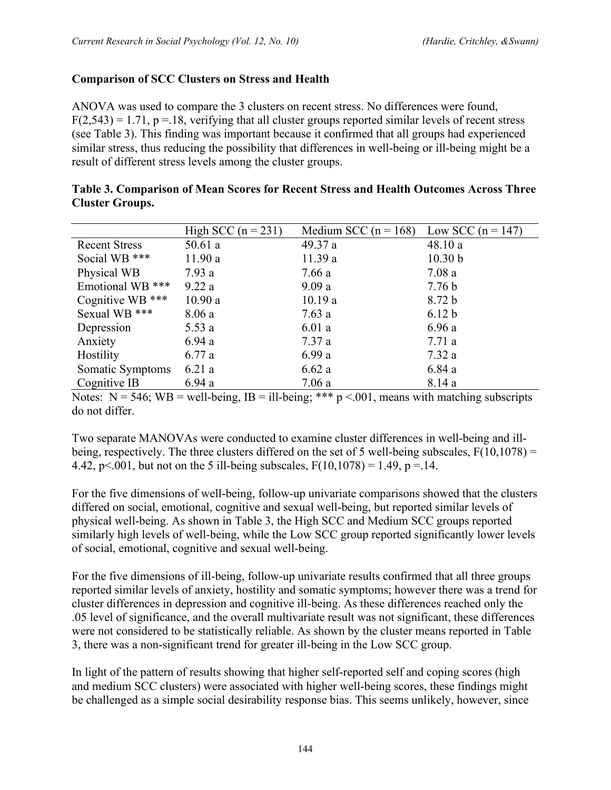## **Comparison of SCC Clusters on Stress and Health**

ANOVA was used to compare the 3 clusters on recent stress. No differences were found,  $F(2,543) = 1.71$ ,  $p = 18$ , verifying that all cluster groups reported similar levels of recent stress (see Table 3). This finding was important because it confirmed that all groups had experienced similar stress, thus reducing the possibility that differences in well-being or ill-being might be a result of different stress levels among the cluster groups.

| High SCC $(n = 231)$ | Medium SCC ( $n = 168$ ) | Low SCC $(n = 147)$ |
|----------------------|--------------------------|---------------------|
| 50.61a               | 49.37 a                  | 48.10 a             |
| 11.90a               | 11.39a                   | 10.30 b             |
| 7.93a                | 7.66a                    | 7.08a               |
| 9.22a                | 9.09a                    | 7.76 <sub>b</sub>   |
| 10.90 a              | 10.19a                   | 8.72 <sub>b</sub>   |
| 8.06a                | 7.63a                    | 6.12 <sub>b</sub>   |
| 5.53a                | 6.01a                    | 6.96a               |
| 6.94a                | 7.37 a                   | 7.71 a              |
| 6.77a                | 6.99a                    | 7.32a               |
| 6.21a                | 6.62a                    | 6.84a               |
| 6.94a                | 7.06a                    | 8.14 a              |
|                      |                          |                     |

| Table 3. Comparison of Mean Scores for Recent Stress and Health Outcomes Across Three |  |  |
|---------------------------------------------------------------------------------------|--|--|
| <b>Cluster Groups.</b>                                                                |  |  |

Notes:  $N = 546$ ;  $WB =$  well-being,  $IB =$  ill-being; \*\*\*  $p < 001$ , means with matching subscripts do not differ.

Two separate MANOVAs were conducted to examine cluster differences in well-being and illbeing, respectively. The three clusters differed on the set of 5 well-being subscales,  $F(10,1078) =$ 4.42, p<.001, but not on the 5 ill-being subscales,  $F(10,1078) = 1.49$ , p = 14.

For the five dimensions of well-being, follow-up univariate comparisons showed that the clusters differed on social, emotional, cognitive and sexual well-being, but reported similar levels of physical well-being. As shown in Table 3, the High SCC and Medium SCC groups reported similarly high levels of well-being, while the Low SCC group reported significantly lower levels of social, emotional, cognitive and sexual well-being.

For the five dimensions of ill-being, follow-up univariate results confirmed that all three groups reported similar levels of anxiety, hostility and somatic symptoms; however there was a trend for cluster differences in depression and cognitive ill-being. As these differences reached only the .05 level of significance, and the overall multivariate result was not significant, these differences were not considered to be statistically reliable. As shown by the cluster means reported in Table 3, there was a non-significant trend for greater ill-being in the Low SCC group.

In light of the pattern of results showing that higher self-reported self and coping scores (high and medium SCC clusters) were associated with higher well-being scores, these findings might be challenged as a simple social desirability response bias. This seems unlikely, however, since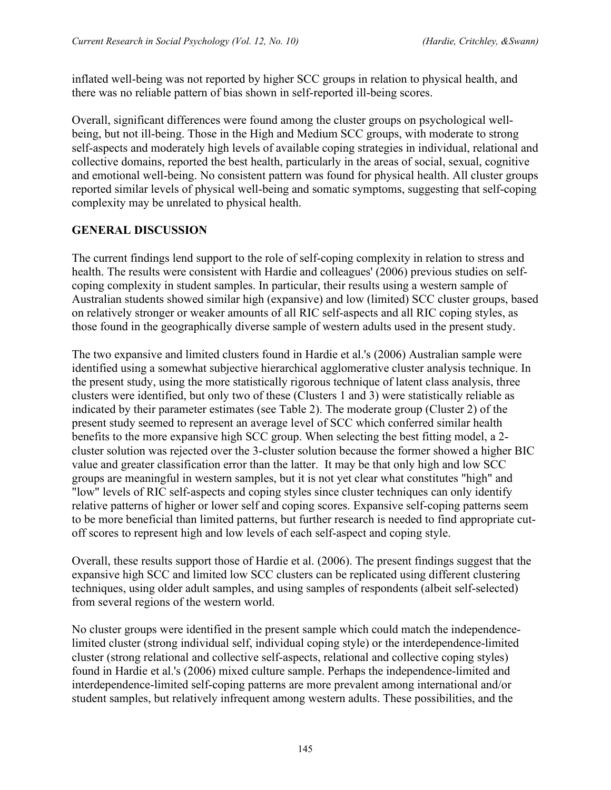inflated well-being was not reported by higher SCC groups in relation to physical health, and there was no reliable pattern of bias shown in self-reported ill-being scores.

Overall, significant differences were found among the cluster groups on psychological wellbeing, but not ill-being. Those in the High and Medium SCC groups, with moderate to strong self-aspects and moderately high levels of available coping strategies in individual, relational and collective domains, reported the best health, particularly in the areas of social, sexual, cognitive and emotional well-being. No consistent pattern was found for physical health. All cluster groups reported similar levels of physical well-being and somatic symptoms, suggesting that self-coping complexity may be unrelated to physical health.

## **GENERAL DISCUSSION**

The current findings lend support to the role of self-coping complexity in relation to stress and health. The results were consistent with Hardie and colleagues' (2006) previous studies on selfcoping complexity in student samples. In particular, their results using a western sample of Australian students showed similar high (expansive) and low (limited) SCC cluster groups, based on relatively stronger or weaker amounts of all RIC self-aspects and all RIC coping styles, as those found in the geographically diverse sample of western adults used in the present study.

The two expansive and limited clusters found in Hardie et al.'s (2006) Australian sample were identified using a somewhat subjective hierarchical agglomerative cluster analysis technique. In the present study, using the more statistically rigorous technique of latent class analysis, three clusters were identified, but only two of these (Clusters 1 and 3) were statistically reliable as indicated by their parameter estimates (see Table 2). The moderate group (Cluster 2) of the present study seemed to represent an average level of SCC which conferred similar health benefits to the more expansive high SCC group. When selecting the best fitting model, a 2 cluster solution was rejected over the 3-cluster solution because the former showed a higher BIC value and greater classification error than the latter. It may be that only high and low SCC groups are meaningful in western samples, but it is not yet clear what constitutes "high" and "low" levels of RIC self-aspects and coping styles since cluster techniques can only identify relative patterns of higher or lower self and coping scores. Expansive self-coping patterns seem to be more beneficial than limited patterns, but further research is needed to find appropriate cutoff scores to represent high and low levels of each self-aspect and coping style.

Overall, these results support those of Hardie et al. (2006). The present findings suggest that the expansive high SCC and limited low SCC clusters can be replicated using different clustering techniques, using older adult samples, and using samples of respondents (albeit self-selected) from several regions of the western world.

No cluster groups were identified in the present sample which could match the independencelimited cluster (strong individual self, individual coping style) or the interdependence-limited cluster (strong relational and collective self-aspects, relational and collective coping styles) found in Hardie et al.'s (2006) mixed culture sample. Perhaps the independence-limited and interdependence-limited self-coping patterns are more prevalent among international and/or student samples, but relatively infrequent among western adults. These possibilities, and the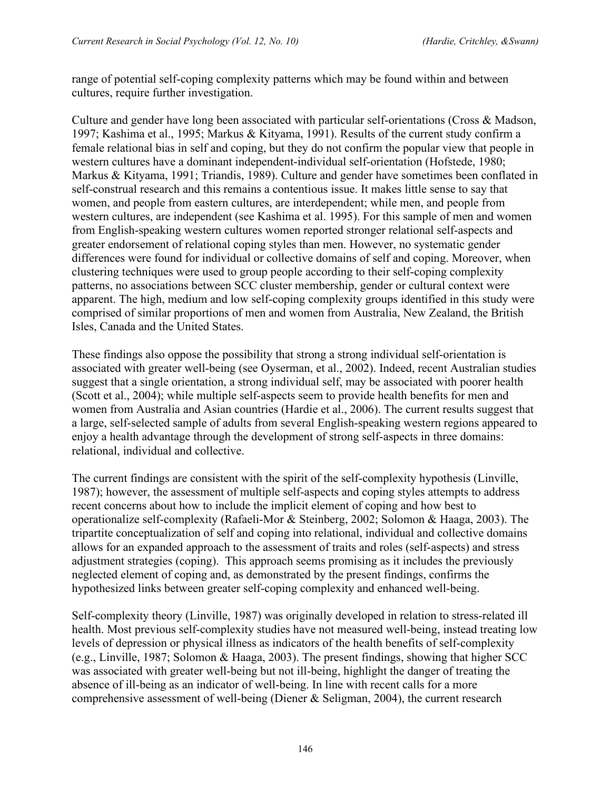range of potential self-coping complexity patterns which may be found within and between cultures, require further investigation.

Culture and gender have long been associated with particular self-orientations (Cross & Madson, 1997; Kashima et al., 1995; Markus & Kityama, 1991). Results of the current study confirm a female relational bias in self and coping, but they do not confirm the popular view that people in western cultures have a dominant independent-individual self-orientation (Hofstede, 1980; Markus & Kityama, 1991; Triandis, 1989). Culture and gender have sometimes been conflated in self-construal research and this remains a contentious issue. It makes little sense to say that women, and people from eastern cultures, are interdependent; while men, and people from western cultures, are independent (see Kashima et al. 1995). For this sample of men and women from English-speaking western cultures women reported stronger relational self-aspects and greater endorsement of relational coping styles than men. However, no systematic gender differences were found for individual or collective domains of self and coping. Moreover, when clustering techniques were used to group people according to their self-coping complexity patterns, no associations between SCC cluster membership, gender or cultural context were apparent. The high, medium and low self-coping complexity groups identified in this study were comprised of similar proportions of men and women from Australia, New Zealand, the British Isles, Canada and the United States.

These findings also oppose the possibility that strong a strong individual self-orientation is associated with greater well-being (see Oyserman, et al., 2002). Indeed, recent Australian studies suggest that a single orientation, a strong individual self, may be associated with poorer health (Scott et al., 2004); while multiple self-aspects seem to provide health benefits for men and women from Australia and Asian countries (Hardie et al., 2006). The current results suggest that a large, self-selected sample of adults from several English-speaking western regions appeared to enjoy a health advantage through the development of strong self-aspects in three domains: relational, individual and collective.

The current findings are consistent with the spirit of the self-complexity hypothesis (Linville, 1987); however, the assessment of multiple self-aspects and coping styles attempts to address recent concerns about how to include the implicit element of coping and how best to operationalize self-complexity (Rafaeli-Mor & Steinberg, 2002; Solomon & Haaga, 2003). The tripartite conceptualization of self and coping into relational, individual and collective domains allows for an expanded approach to the assessment of traits and roles (self-aspects) and stress adjustment strategies (coping). This approach seems promising as it includes the previously neglected element of coping and, as demonstrated by the present findings, confirms the hypothesized links between greater self-coping complexity and enhanced well-being.

Self-complexity theory (Linville, 1987) was originally developed in relation to stress-related ill health. Most previous self-complexity studies have not measured well-being, instead treating low levels of depression or physical illness as indicators of the health benefits of self-complexity (e.g., Linville, 1987; Solomon & Haaga, 2003). The present findings, showing that higher SCC was associated with greater well-being but not ill-being, highlight the danger of treating the absence of ill-being as an indicator of well-being. In line with recent calls for a more comprehensive assessment of well-being (Diener & Seligman, 2004), the current research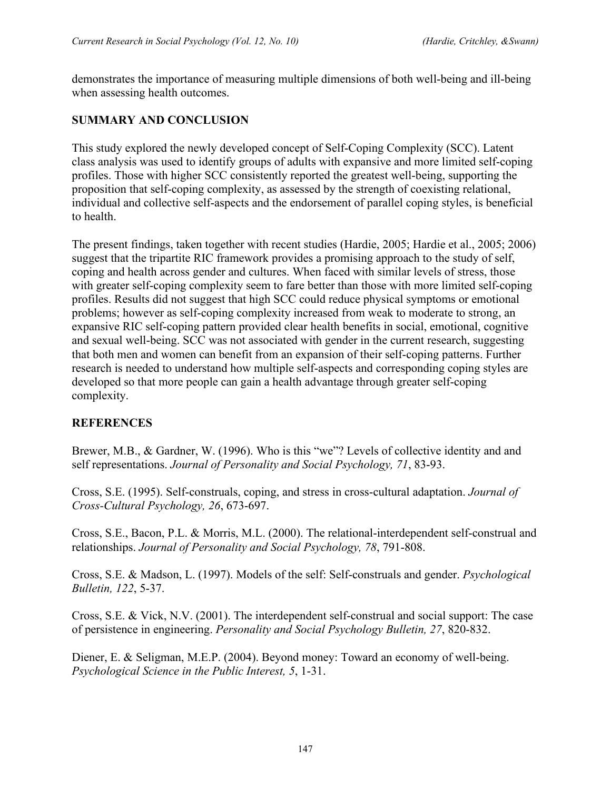demonstrates the importance of measuring multiple dimensions of both well-being and ill-being when assessing health outcomes.

## **SUMMARY AND CONCLUSION**

This study explored the newly developed concept of Self-Coping Complexity (SCC). Latent class analysis was used to identify groups of adults with expansive and more limited self-coping profiles. Those with higher SCC consistently reported the greatest well-being, supporting the proposition that self-coping complexity, as assessed by the strength of coexisting relational, individual and collective self-aspects and the endorsement of parallel coping styles, is beneficial to health.

The present findings, taken together with recent studies (Hardie, 2005; Hardie et al., 2005; 2006) suggest that the tripartite RIC framework provides a promising approach to the study of self, coping and health across gender and cultures. When faced with similar levels of stress, those with greater self-coping complexity seem to fare better than those with more limited self-coping profiles. Results did not suggest that high SCC could reduce physical symptoms or emotional problems; however as self-coping complexity increased from weak to moderate to strong, an expansive RIC self-coping pattern provided clear health benefits in social, emotional, cognitive and sexual well-being. SCC was not associated with gender in the current research, suggesting that both men and women can benefit from an expansion of their self-coping patterns. Further research is needed to understand how multiple self-aspects and corresponding coping styles are developed so that more people can gain a health advantage through greater self-coping complexity.

## **REFERENCES**

Brewer, M.B., & Gardner, W. (1996). Who is this "we"? Levels of collective identity and and self representations. *Journal of Personality and Social Psychology, 71*, 83-93.

Cross, S.E. (1995). Self-construals, coping, and stress in cross-cultural adaptation. *Journal of Cross-Cultural Psychology, 26*, 673-697.

Cross, S.E., Bacon, P.L. & Morris, M.L. (2000). The relational-interdependent self-construal and relationships. *Journal of Personality and Social Psychology, 78*, 791-808.

Cross, S.E. & Madson, L. (1997). Models of the self: Self-construals and gender. *Psychological Bulletin, 122*, 5-37.

Cross, S.E. & Vick, N.V. (2001). The interdependent self-construal and social support: The case of persistence in engineering. *Personality and Social Psychology Bulletin, 27*, 820-832.

Diener, E. & Seligman, M.E.P. (2004). Beyond money: Toward an economy of well-being. *Psychological Science in the Public Interest, 5*, 1-31.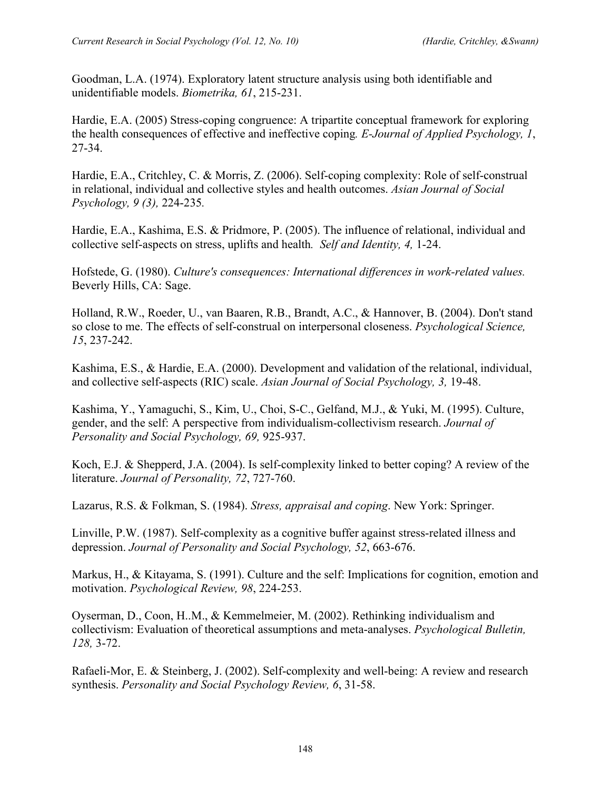Goodman, L.A. (1974). Exploratory latent structure analysis using both identifiable and unidentifiable models. *Biometrika, 61*, 215-231.

Hardie, E.A. (2005) Stress-coping congruence: A tripartite conceptual framework for exploring the health consequences of effective and ineffective coping*. E-Journal of Applied Psychology, 1*, 27-34.

Hardie, E.A., Critchley, C. & Morris, Z. (2006). Self-coping complexity: Role of self-construal in relational, individual and collective styles and health outcomes. *Asian Journal of Social Psychology, 9 (3),* 224-235*.*

Hardie, E.A., Kashima, E.S. & Pridmore, P. (2005). The influence of relational, individual and collective self-aspects on stress, uplifts and health*. Self and Identity, 4,* 1-24.

Hofstede, G. (1980). *Culture's consequences: International differences in work-related values.* Beverly Hills, CA: Sage.

Holland, R.W., Roeder, U., van Baaren, R.B., Brandt, A.C., & Hannover, B. (2004). Don't stand so close to me. The effects of self-construal on interpersonal closeness. *Psychological Science, 15*, 237-242.

Kashima, E.S., & Hardie, E.A. (2000). Development and validation of the relational, individual, and collective self-aspects (RIC) scale. *Asian Journal of Social Psychology, 3,* 19-48.

Kashima, Y., Yamaguchi, S., Kim, U., Choi, S-C., Gelfand, M.J., & Yuki, M. (1995). Culture, gender, and the self: A perspective from individualism-collectivism research. *Journal of Personality and Social Psychology, 69,* 925-937.

Koch, E.J. & Shepperd, J.A. (2004). Is self-complexity linked to better coping? A review of the literature. *Journal of Personality, 72*, 727-760.

Lazarus, R.S. & Folkman, S. (1984). *Stress, appraisal and coping*. New York: Springer.

Linville, P.W. (1987). Self-complexity as a cognitive buffer against stress-related illness and depression. *Journal of Personality and Social Psychology, 52*, 663-676.

Markus, H., & Kitayama, S. (1991). Culture and the self: Implications for cognition, emotion and motivation. *Psychological Review, 98*, 224-253.

Oyserman, D., Coon, H..M., & Kemmelmeier, M. (2002). Rethinking individualism and collectivism: Evaluation of theoretical assumptions and meta-analyses. *Psychological Bulletin, 128,* 3-72.

Rafaeli-Mor, E. & Steinberg, J. (2002). Self-complexity and well-being: A review and research synthesis. *Personality and Social Psychology Review, 6*, 31-58.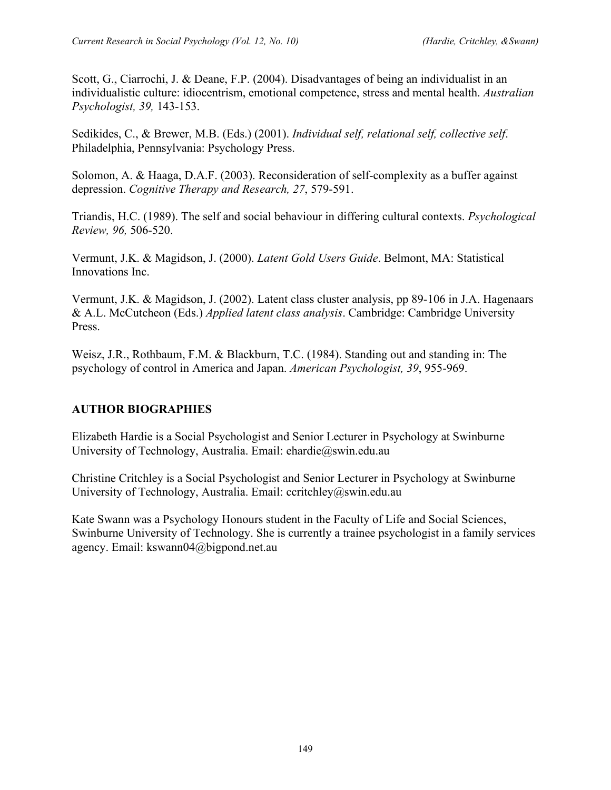Scott, G., Ciarrochi, J. & Deane, F.P. (2004). Disadvantages of being an individualist in an individualistic culture: idiocentrism, emotional competence, stress and mental health. *Australian Psychologist, 39,* 143-153.

Sedikides, C., & Brewer, M.B. (Eds.) (2001). *Individual self, relational self, collective self*. Philadelphia, Pennsylvania: Psychology Press.

Solomon, A. & Haaga, D.A.F. (2003). Reconsideration of self-complexity as a buffer against depression. *Cognitive Therapy and Research, 27*, 579-591.

Triandis, H.C. (1989). The self and social behaviour in differing cultural contexts. *Psychological Review, 96,* 506-520.

Vermunt, J.K. & Magidson, J. (2000). *Latent Gold Users Guide*. Belmont, MA: Statistical Innovations Inc.

Vermunt, J.K. & Magidson, J. (2002). Latent class cluster analysis, pp 89-106 in J.A. Hagenaars & A.L. McCutcheon (Eds.) *Applied latent class analysis*. Cambridge: Cambridge University Press.

Weisz, J.R., Rothbaum, F.M. & Blackburn, T.C. (1984). Standing out and standing in: The psychology of control in America and Japan. *American Psychologist, 39*, 955-969.

## **AUTHOR BIOGRAPHIES**

Elizabeth Hardie is a Social Psychologist and Senior Lecturer in Psychology at Swinburne University of Technology, Australia. Email: ehardie@swin.edu.au

Christine Critchley is a Social Psychologist and Senior Lecturer in Psychology at Swinburne University of Technology, Australia. Email: ccritchley@swin.edu.au

Kate Swann was a Psychology Honours student in the Faculty of Life and Social Sciences, Swinburne University of Technology. She is currently a trainee psychologist in a family services agency. Email: kswann04@bigpond.net.au